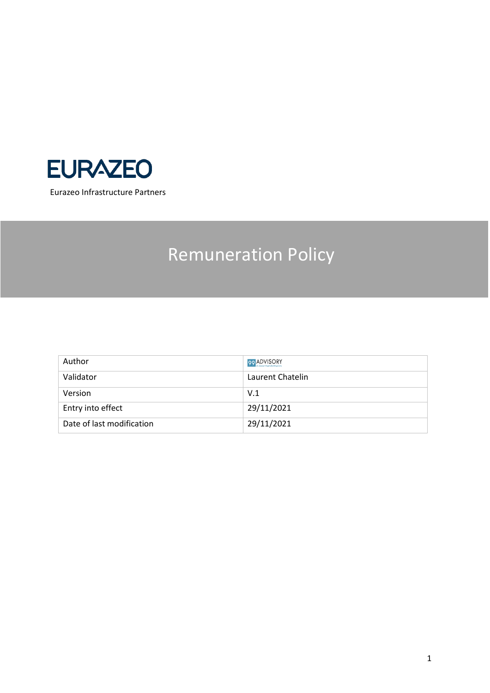

# Remuneration Policy

| Author                    | 99 ADVISORY      |
|---------------------------|------------------|
| Validator                 | Laurent Chatelin |
| Version                   | V.1              |
| Entry into effect         | 29/11/2021       |
| Date of last modification | 29/11/2021       |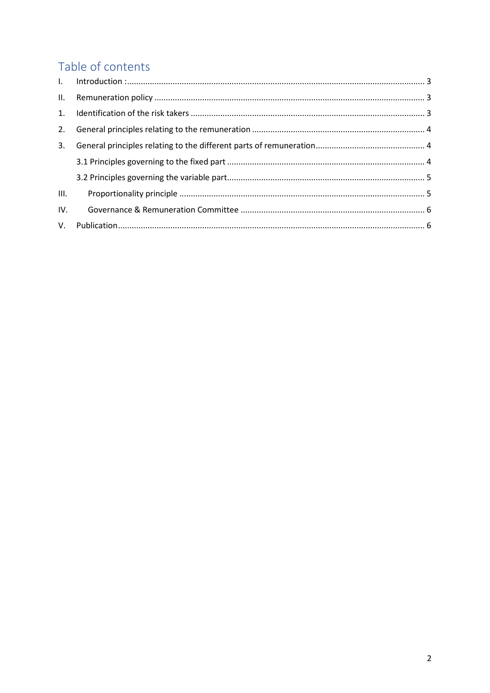# Table of contents

| 2.   |  |
|------|--|
| 3.   |  |
|      |  |
|      |  |
| III. |  |
| IV.  |  |
|      |  |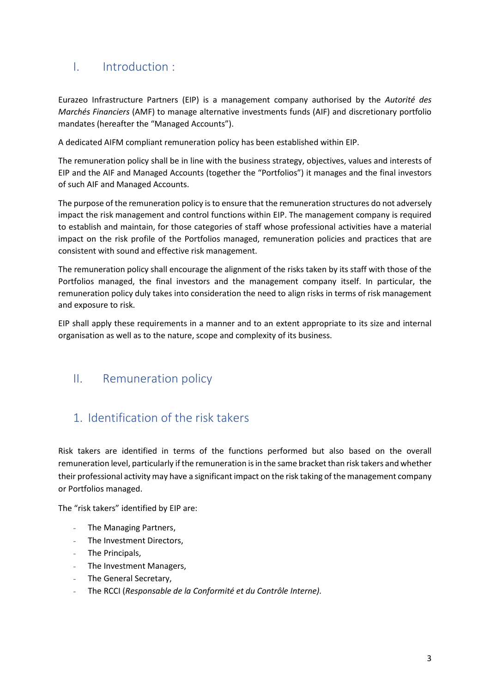## <span id="page-2-0"></span>I. Introduction :

Eurazeo Infrastructure Partners (EIP) is a management company authorised by the *Autorité des Marchés Financiers* (AMF) to manage alternative investments funds (AIF) and discretionary portfolio mandates (hereafter the "Managed Accounts").

A dedicated AIFM compliant remuneration policy has been established within EIP.

The remuneration policy shall be in line with the business strategy, objectives, values and interests of EIP and the AIF and Managed Accounts (together the "Portfolios") it manages and the final investors of such AIF and Managed Accounts.

The purpose of the remuneration policy is to ensure that the remuneration structures do not adversely impact the risk management and control functions within EIP. The management company is required to establish and maintain, for those categories of staff whose professional activities have a material impact on the risk profile of the Portfolios managed, remuneration policies and practices that are consistent with sound and effective risk management.

The remuneration policy shall encourage the alignment of the risks taken by its staff with those of the Portfolios managed, the final investors and the management company itself. In particular, the remuneration policy duly takes into consideration the need to align risks in terms of risk management and exposure to risk.

EIP shall apply these requirements in a manner and to an extent appropriate to its size and internal organisation as well as to the nature, scope and complexity of its business.

### <span id="page-2-1"></span>II. Remuneration policy

### <span id="page-2-2"></span>1. Identification of the risk takers

Risk takers are identified in terms of the functions performed but also based on the overall remuneration level, particularly if the remuneration is in the same bracket than risk takers and whether their professional activity may have a significant impact on the risk taking of the management company or Portfolios managed.

The "risk takers" identified by EIP are:

- The Managing Partners,
- The Investment Directors,
- The Principals,
- The Investment Managers,
- The General Secretary,
- The RCCI (*Responsable de la Conformité et du Contrôle Interne).*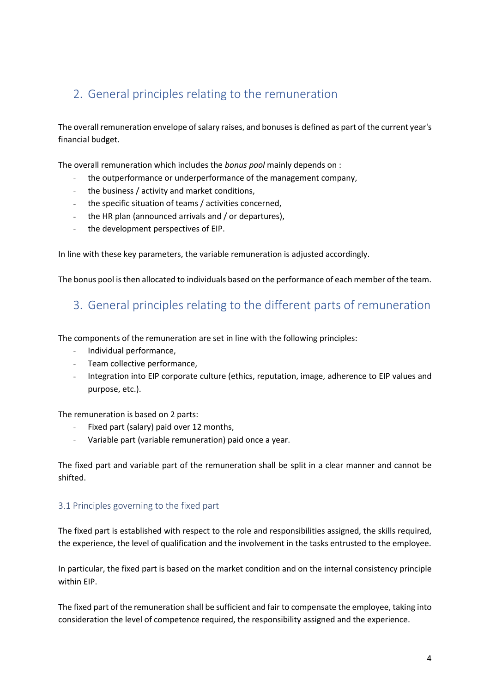## <span id="page-3-0"></span>2. General principles relating to the remuneration

The overall remuneration envelope of salary raises, and bonuses is defined as part of the current year's financial budget.

The overall remuneration which includes the *bonus pool* mainly depends on :

- the outperformance or underperformance of the management company,
- the business / activity and market conditions,
- the specific situation of teams / activities concerned,
- the HR plan (announced arrivals and / or departures),
- the development perspectives of EIP.

In line with these key parameters, the variable remuneration is adjusted accordingly.

<span id="page-3-1"></span>The bonus pool is then allocated to individuals based on the performance of each member of the team.

#### 3. General principles relating to the different parts of remuneration

The components of the remuneration are set in line with the following principles:

- Individual performance,
- Team collective performance,
- Integration into EIP corporate culture (ethics, reputation, image, adherence to EIP values and purpose, etc.).

The remuneration is based on 2 parts:

- Fixed part (salary) paid over 12 months,
- Variable part (variable remuneration) paid once a year.

The fixed part and variable part of the remuneration shall be split in a clear manner and cannot be shifted.

#### <span id="page-3-2"></span>3.1 Principles governing to the fixed part

The fixed part is established with respect to the role and responsibilities assigned, the skills required, the experience, the level of qualification and the involvement in the tasks entrusted to the employee.

In particular, the fixed part is based on the market condition and on the internal consistency principle within EIP.

The fixed part of the remuneration shall be sufficient and fair to compensate the employee, taking into consideration the level of competence required, the responsibility assigned and the experience.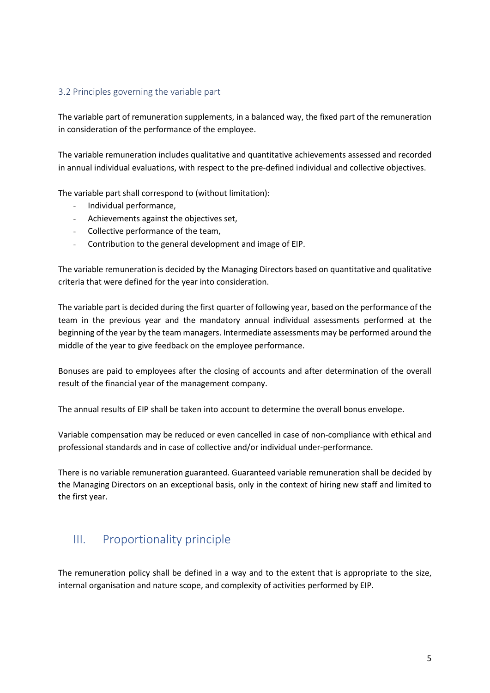#### <span id="page-4-0"></span>3.2 Principles governing the variable part

The variable part of remuneration supplements, in a balanced way, the fixed part of the remuneration in consideration of the performance of the employee.

The variable remuneration includes qualitative and quantitative achievements assessed and recorded in annual individual evaluations, with respect to the pre-defined individual and collective objectives.

The variable part shall correspond to (without limitation):

- Individual performance,
- Achievements against the objectives set,
- Collective performance of the team,
- Contribution to the general development and image of EIP.

The variable remuneration is decided by the Managing Directors based on quantitative and qualitative criteria that were defined for the year into consideration.

The variable part is decided during the first quarter of following year, based on the performance of the team in the previous year and the mandatory annual individual assessments performed at the beginning of the year by the team managers. Intermediate assessments may be performed around the middle of the year to give feedback on the employee performance.

Bonuses are paid to employees after the closing of accounts and after determination of the overall result of the financial year of the management company.

The annual results of EIP shall be taken into account to determine the overall bonus envelope.

Variable compensation may be reduced or even cancelled in case of non-compliance with ethical and professional standards and in case of collective and/or individual under-performance.

There is no variable remuneration guaranteed. Guaranteed variable remuneration shall be decided by the Managing Directors on an exceptional basis, only in the context of hiring new staff and limited to the first year.

### <span id="page-4-1"></span>III. Proportionality principle

The remuneration policy shall be defined in a way and to the extent that is appropriate to the size, internal organisation and nature scope, and complexity of activities performed by EIP.